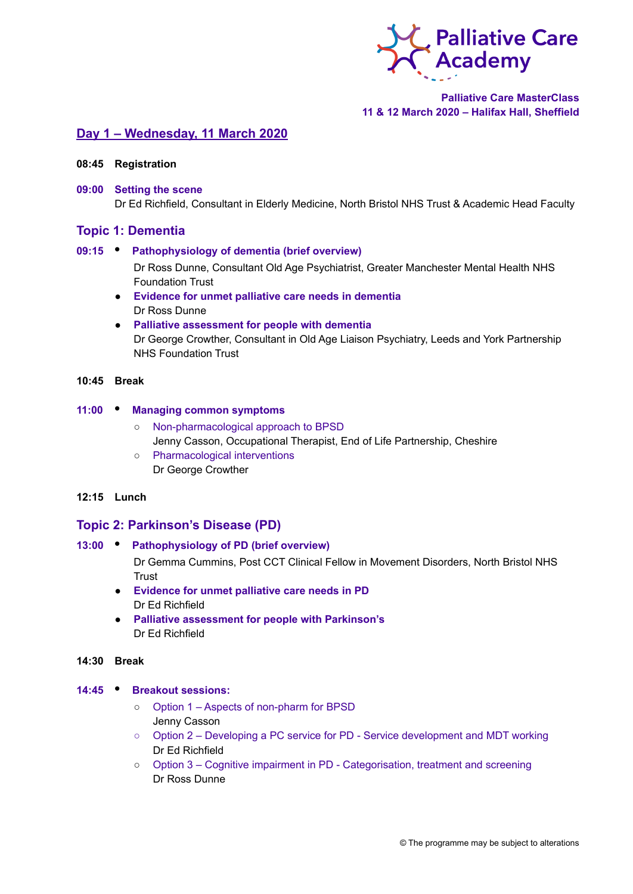

# **Palliative Care MasterClass 11 & 12 March 2020 – Halifax Hall, Sheffield**

# **Day 1 – Wednesday, 11 March 2020**

- **08:45 Registration**
- **09:00 Setting the scene** Dr Ed Richfield, Consultant in Elderly Medicine, North Bristol NHS Trust & Academic Head Faculty

## **Topic 1: Dementia**

#### **09:15 • Pathophysiology of dementia (brief overview)**

Dr Ross Dunne, Consultant Old Age Psychiatrist, Greater Manchester Mental Health NHS Foundation Trust

- **Evidence for unmet palliative care needs in dementia** Dr Ross Dunne
- **Palliative assessment for people with dementia** Dr George Crowther, Consultant in Old Age Liaison Psychiatry, Leeds and York Partnership NHS Foundation Trust

## **10:45 Break**

## **11:00 • Managing common symptoms**

- Non-pharmacological approach to BPSD Jenny Casson, Occupational Therapist, End of Life Partnership, Cheshire
- Pharmacological interventions Dr George Crowther

## **12:15 Lunch**

# **Topic 2: Parkinson's Disease (PD)**

### **13:00 • Pathophysiology of PD (brief overview)**

Dr Gemma Cummins, Post CCT Clinical Fellow in Movement Disorders, North Bristol NHS **Trust** 

- **Evidence for unmet palliative care needs in PD** Dr Ed Richfield
- **Palliative assessment for people with Parkinson's** Dr Ed Richfield

### **14:30 Break**

#### **14:45 • Breakout sessions:**

- Option 1 Aspects of non-pharm for BPSD Jenny Casson
- Option 2 Developing a PC service for PD Service development and MDT working Dr Ed Richfield
- Option 3 Cognitive impairment in PD Categorisation, treatment and screening Dr Ross Dunne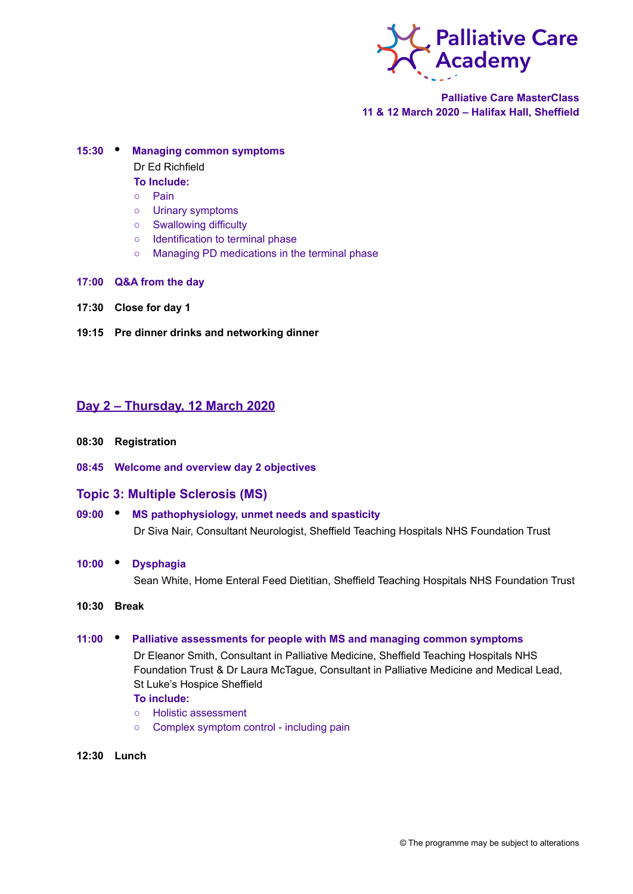

**Palliative Care MasterClass 11 & 12 March 2020 – Halifax Hall, Sheffield**

#### **15:30 • Managing common symptoms**

Dr Ed Richfield

- **To Include:**
- Pain
- Urinary symptoms
- Swallowing difficulty
- Identification to terminal phase
- Managing PD medications in the terminal phase
- **17:00 Q&A from the day**
- **17:30 Close for day 1**
- **19:15 Pre dinner drinks and networking dinner**

# **Day 2 – Thursday, 12 March 2020**

- **08:30 Registration**
- **08:45 Welcome and overview day 2 objectives**

# **Topic 3: Multiple Sclerosis (MS)**

- **09:00 • MS pathophysiology, unmet needs and spasticity** Dr Siva Nair, Consultant Neurologist, Sheffield Teaching Hospitals NHS Foundation Trust
- **10:00 • Dysphagia**

Sean White, Home Enteral Feed Dietitian, Sheffield Teaching Hospitals NHS Foundation Trust

**10:30 Break**

### **11:00 • Palliative assessments for people with MS and managing common symptoms**

Dr Eleanor Smith, Consultant in Palliative Medicine, Sheffield Teaching Hospitals NHS Foundation Trust & Dr Laura McTague, Consultant in Palliative Medicine and Medical Lead, St Luke's Hospice Sheffield

## **To include:**

- Holistic assessment
- Complex symptom control including pain
- **12:30 Lunch**